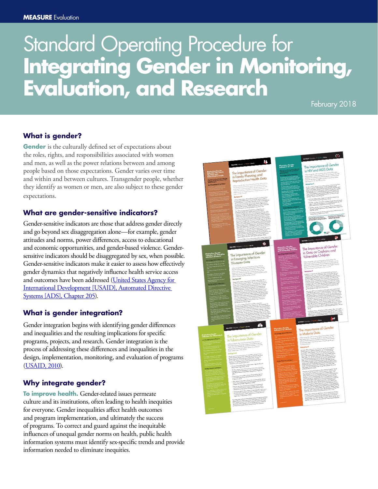# Standard Operating Procedure for **Integrating Gender in Monitoring, Evaluation, and Research**

February 2018

# **What is gender?**

**Gender** is the culturally defined set of expectations about the roles, rights, and responsibilities associated with women and men, as well as the power relations between and among people based on those expectations. Gender varies over time and within and between cultures. Transgender people, whether they identify as women or men, are also subject to these gender expectations.

#### **What are gender-sensitive indicators?**

Gender-sensitive indicators are those that address gender directly and go beyond sex disaggregation alone—for example, gender attitudes and norms, power differences, access to educational and economic opportunities, and gender-based violence. Gendersensitive indicators should be disaggregated by sex, when possible. Gender-sensitive indicators make it easier to assess how effectively gender dynamics that negatively influence health service access and outcomes have been addressed ([United States Agency for](https://www.usaid.gov/sites/default/files/documents/1870/205.pdf)  [International Development \[USAID\], Automated Directive](https://www.usaid.gov/sites/default/files/documents/1870/205.pdf)  [Systems \[ADS\], Chapter 205\)](https://www.usaid.gov/sites/default/files/documents/1870/205.pdf).

# **What is gender integration?**

Gender integration begins with identifying gender differences and inequalities and the resulting implications for specific programs, projects, and research. Gender integration is the process of addressing these differences and inequalities in the design, implementation, monitoring, and evaluation of programs [\(USAID, 2010](https://www.usaid.gov/sites/default/files/documents/1865/201sab.pdf)).

#### **Why integrate gender?**

**To improve health.** Gender-related issues permeate culture and its institutions, often leading to health inequities for everyone. Gender inequalities affect health outcomes and program implementation, and ultimately the success of programs. To correct and guard against the inequitable influences of unequal gender norms on health, public health information systems must identify sex-specific trends and provide information needed to eliminate inequities.

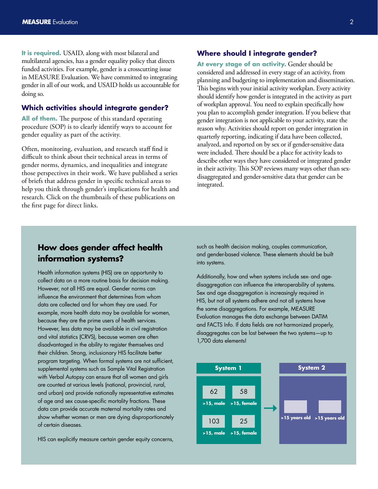**It is required.** USAID, along with most bilateral and multilateral agencies, has a gender equality policy that directs funded activities. For example, gender is a crosscutting issue in MEASURE Evaluation. We have committed to integrating gender in all of our work, and USAID holds us accountable for doing so.

#### **Which activities should integrate gender?**

**All of them.** The purpose of this standard operating procedure (SOP) is to clearly identify ways to account for gender equality as part of the activity.

Often, monitoring, evaluation, and research staff find it difficult to think about their technical areas in terms of gender norms, dynamics, and inequalities and integrate those perspectives in their work. We have published a series of briefs that address gender in specific technical areas to help you think through gender's implications for health and research. Click on the thumbnails of these publications on the first page for direct links.

#### **Where should I integrate gender?**

**At every stage of an activity.** Gender should be considered and addressed in every stage of an activity, from planning and budgeting to implementation and dissemination. This begins with your initial activity workplan. Every activity should identify how gender is integrated in the activity as part of workplan approval. You need to explain specifically how you plan to accomplish gender integration. If you believe that gender integration is not applicable to your activity, state the reason why. Activities should report on gender integration in quarterly reporting, indicating if data have been collected, analyzed, and reported on by sex or if gender-sensitive data were included. There should be a place for activity leads to describe other ways they have considered or integrated gender in their activity. This SOP reviews many ways other than sexdisaggregated and gender-sensitive data that gender can be integrated.

# **How does gender affect health information systems?**

Health information systems (HIS) are an opportunity to collect data on a more routine basis for decision making. However, not all HIS are equal. Gender norms can influence the environment that determines from whom data are collected and for whom they are used. For example, more health data may be available for women, because they are the prime users of health services. However, less data may be available in civil registration and vital statistics (CRVS), because women are often disadvantaged in the ability to register themselves and their children. Strong, inclusionary HIS facilitate better program targeting. When formal systems are not sufficient, supplemental systems such as Sample Vital Registration with Verbal Autopsy can ensure that all women and girls are counted at various levels (national, provincial, rural, and urban) and provide nationally representative estimates of age and sex cause-specific mortality fractions. These data can provide accurate maternal mortality rates and show whether women or men are dying disproportionately of certain diseases.

HIS can explicitly measure certain gender equity concerns,

such as health decision making, couples communication, and gender-based violence. These elements should be built into systems.

Additionally, how and when systems include sex- and agedisaggregation can influence the interoperability of systems. Sex and age disaggregation is increasingly required in HIS, but not all systems adhere and not all systems have the same disaggregations. For example, MEASURE Evaluation manages the data exchange between DATIM and FACTS Info. If data fields are not harmonized properly, disaggregates can be lost between the two systems—up to 1,700 data elements!

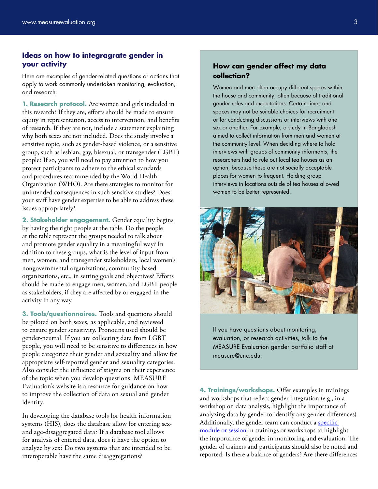#### **Ideas on how to integragrate gender in your activity**

Here are examples of gender-related questions or actions that apply to work commonly undertaken monitoring, evaluation, and research.

**1. Research protocol.** Are women and girls included in this research? If they are, efforts should be made to ensure equity in representation, access to intervention, and benefits of research. If they are not, include a statement explaining why both sexes are not included. Does the study involve a sensitive topic, such as gender-based violence, or a sensitive group, such as lesbian, gay, bisexual, or transgender (LGBT) people? If so, you will need to pay attention to how you protect participants to adhere to the ethical standards and procedures recommended by the World Health Organization (WHO). Are there strategies to monitor for unintended consequences in such sensitive studies? Does your staff have gender expertise to be able to address these issues appropriately?

**2. Stakeholder engagement.** Gender equality begins by having the right people at the table. Do the people at the table represent the groups needed to talk about and promote gender equality in a meaningful way? In addition to these groups, what is the level of input from men, women, and transgender stakeholders, local women's nongovernmental organizations, community-based organizations, etc., in setting goals and objectives? Efforts should be made to engage men, women, and LGBT people as stakeholders, if they are affected by or engaged in the activity in any way.

**3. Tools/questionnaires.** Tools and questions should be piloted on both sexes, as applicable, and reviewed to ensure gender sensitivity. Pronouns used should be gender-neutral. If you are collecting data from LGBT people, you will need to be sensitive to differences in how people categorize their gender and sexuality and allow for appropriate self-reported gender and sexuality categories. Also consider the influence of stigma on their experience of the topic when you develop questions. MEASURE Evaluation's website is a resource for guidance on how to improve the collection of data on sexual and gender identity.

In developing the database tools for health information systems (HIS), does the database allow for entering sexand age-disaggregated data? If a database tool allows for analysis of entered data, does it have the option to analyze by sex? Do two systems that are intended to be interoperable have the same disaggregations?

#### **How can gender affect my data collection?**

Women and men often occupy different spaces within the house and community, often because of traditional gender roles and expectations. Certain times and spaces may not be suitable choices for recruitment or for conducting discussions or interviews with one sex or another. For example, a study in Bangladesh aimed to collect information from men and women at the community level. When deciding where to hold interviews with groups of community informants, the researchers had to rule out local tea houses as an option, because these are not socially acceptable places for women to frequent. Holding group interviews in locations outside of tea houses allowed women to be better represented.



If you have questions about monitoring, evaluation, or research activities, [talk to the](mailto:gender_measure%40unc.edu?subject=Gender%20Integration%20Inquiry)  [MEASURE Evaluation gender portfolio staff](mailto:gender_measure%40unc.edu?subject=Gender%20Integration%20Inquiry) at [measure@unc.edu.](mailto:measure@unc.edu)

**4. Trainings/workshops.** Offer examples in trainings and workshops that reflect gender integration (e.g., in a workshop on data analysis, highlight the importance of analyzing data by gender to identify any gender differences). Additionally, the gender team can conduct a specific [module or session](https://www.globalhealthlearning.org/course/gender-m-e) in trainings or workshops to highlight the importance of gender in monitoring and evaluation. The gender of trainers and participants should also be noted and reported. Is there a balance of genders? Are there differences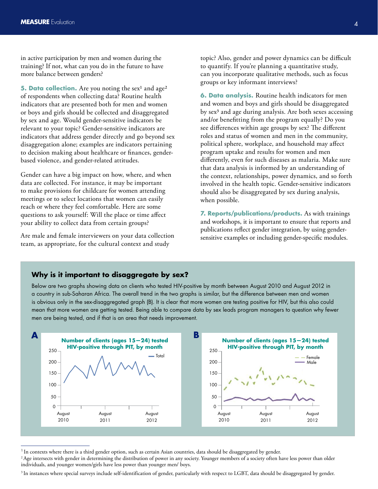in active participation by men and women during the training? If not, what can you do in the future to have more balance between genders?

**5. Data collection.** Are you noting the sex<sup>1</sup> and age<sup>2</sup> of respondents when collecting data? Routine health indicators that are presented both for men and women or boys and girls should be collected and disaggregated by sex and age. Would gender-sensitive indicators be relevant to your topic? Gender-sensitive indicators are indicators that address gender directly and go beyond sex disaggregation alone; examples are indicators pertaining to decision making about healthcare or finances, genderbased violence, and gender-related attitudes.

Gender can have a big impact on how, where, and when data are collected. For instance, it may be important to make provisions for childcare for women attending meetings or to select locations that women can easily reach or where they feel comfortable. Here are some questions to ask yourself: Will the place or time affect your ability to collect data from certain groups?

Are male and female interviewers on your data collection team, as appropriate, for the cultural context and study

topic? Also, gender and power dynamics can be difficult to quantify. If you're planning a quantitative study, can you incorporate qualitative methods, such as focus groups or key informant interviews?

**6. Data analysis.** Routine health indicators for men and women and boys and girls should be disaggregated by sex3 and age during analysis. Are both sexes accessing and/or benefitting from the program equally? Do you see differences within age groups by sex? The different roles and status of women and men in the community, political sphere, workplace, and household may affect program uptake and results for women and men differently, even for such diseases as malaria. Make sure that data analysis is informed by an understanding of the context, relationships, power dynamics, and so forth involved in the health topic. Gender-sensitive indicators should also be disaggregated by sex during analysis, when possible.

**7. Reports/publications/products.** As with trainings and workshops, it is important to ensure that reports and publications reflect gender integration, by using gendersensitive examples or including gender-specific modules.

#### **Why is it important to disaggregate by sex?**

Below are two graphs showing data on clients who tested HIV-positive by month between August 2010 and August 2012 in a country in sub-Saharan Africa. The overall trend in the two graphs is similar, but the difference between men and women is obvious only in the sex-disaggregated graph (B). It is clear that more women are testing positive for HIV, but this also could mean that more women are getting tested. Being able to compare data by sex leads program managers to question why fewer men are being tested, and if that is an area that needs improvement.



<sup>&</sup>lt;sup>1</sup> In contexts where there is a third gender option, such as certain Asian countries, data should be disaggregated by gender.

<sup>&</sup>lt;sup>2</sup> Age intersects with gender in determining the distribution of power in any society. Younger members of a society often have less power than older individuals, and younger women/girls have less power than younger men/ boys.

<sup>&</sup>lt;sup>3</sup> In instances where special surveys include self-identification of gender, particularly with respect to LGBT, data should be disaggregated by gender.